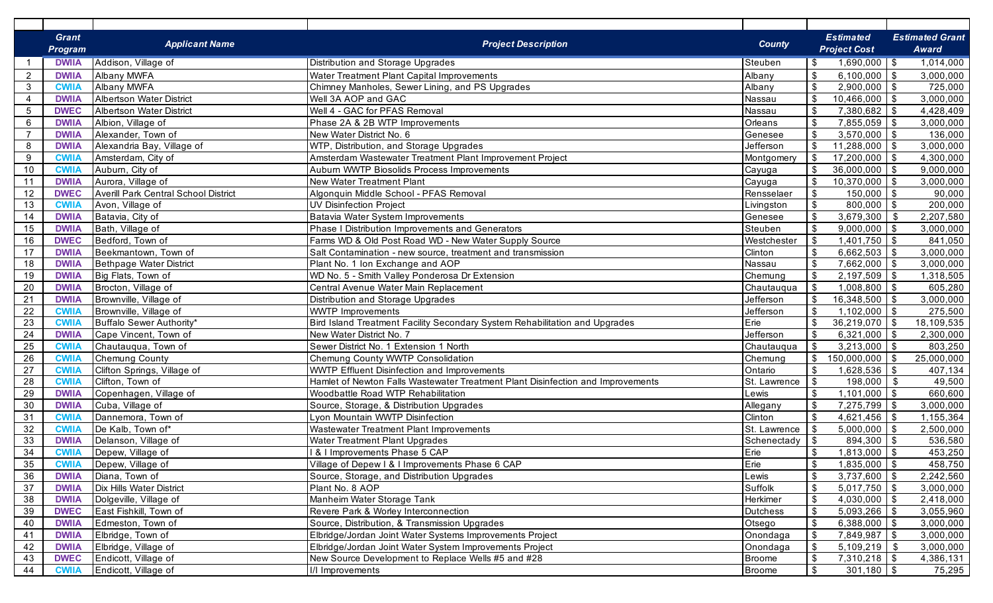| <b>Estimated</b><br><b>Estimated Grant</b><br><b>Grant</b><br><b>Applicant Name</b><br><b>Project Description</b><br><b>County</b><br><b>Project Cost</b><br><b>Program</b><br>Award<br>1,014,000<br>Addison, Village of<br>$1,690,000$ \$<br><b>DWIIA</b><br>Distribution and Storage Upgrades<br>Steuben<br>-\$<br>$\sqrt[6]{3}$<br>$6,100,000$ \$<br>$\overline{2}$<br><b>DWIIA</b><br><b>Albany MWFA</b><br>Water Treatment Plant Capital Improvements<br>Albany<br>3,000,000<br>$\sqrt[6]{3}$<br><b>Albany MWFA</b><br>$2,900,000$ \ \$<br>725,000<br>3<br><b>CWII/</b><br>Chimney Manholes, Sewer Lining, and PS Upgrades<br>Albany<br>$\sqrt[6]{3}$<br><b>Albertson Water District</b><br>Well 3A AOP and GAC<br>$10,466,000$ \$<br>3,000,000<br>$\overline{4}$<br><b>DWIIA</b><br>Nassau<br>$\sqrt[6]{\frac{1}{2}}$<br><b>Albertson Water District</b><br>Well 4 - GAC for PFAS Removal<br>$7,380,682$ \$<br>5<br><b>DWEC</b><br>4,428,409<br>Nassau<br>$\sqrt[6]{\frac{1}{2}}$<br>Phase 2A & 2B WTP Improvements<br>$7,855,059$ \$<br>6<br><b>DWIIA</b><br>Albion, Village of<br>Orleans<br>3,000,000<br>$\sqrt[6]{\frac{1}{2}}$<br>Alexander, Town of<br>$3,570,000$ \$<br>$\overline{7}$<br><b>DWIIA</b><br>New Water District No. 6<br>136,000<br>Genesee<br>$\sqrt[6]{3}$<br>$11,288,000$ \$<br>8<br><b>DWIIA</b><br>Alexandria Bay, Village of<br>WTP, Distribution, and Storage Upgrades<br>Jefferson<br>3,000,000<br>$\sqrt{3}$<br>$17,200,000$ \$<br>9<br>Amsterdam Wastewater Treatment Plant Improvement Project<br>4,300,000<br><b>CWII/</b><br>Amsterdam, City of<br>Montgomery<br>$\sqrt[6]{3}$<br>$36,000,000$ \$<br>10<br><b>CWII/</b><br>Auburn, City of<br>Aubum WWTP Biosolids Process Improvements<br>9,000,000<br>Cayuga<br>$\boldsymbol{\mathsf{\$}}$<br>11<br>Aurora, Village of<br>New Water Treatment Plant<br>$10,370,000$ \$<br><b>DWIIA</b><br>3,000,000<br>Cayuga<br>$\overline{\mathbf{3}}$<br>$150,000$ \$<br>12<br><b>DWEC</b><br>Averill Park Central School District<br>Algonquin Middle School - PFAS Removal<br>Rensselaer<br>90,000<br>$\sqrt[6]{\frac{1}{2}}$<br>13<br>Avon, Village of<br>UV Disinfection Project<br>$800,000$ \$<br>200,000<br><b>CWIIA</b><br>Livingston<br>$\sqrt[6]{\frac{1}{2}}$<br>14<br>3,679,300<br>- \$<br>2,207,580<br><b>DWIIA</b><br>Batavia, City of<br>Batavia Water System Improvements<br>Genesee<br>$\sqrt[6]{\frac{1}{2}}$<br>15<br>Bath, Village of<br>$9,000,000$ \$<br><b>DWIIA</b><br>Phase I Distribution Improvements and Generators<br>Steuben<br>3,000,000<br>\$<br>16<br><b>DWEC</b><br>Bedford, Town of<br>Farms WD & Old Post Road WD - New Water Supply Source<br>$1,401,750$ \$<br>841,050<br>Westchester<br>$\mathfrak s$<br>$6,662,503$ \$<br>17<br>Beekmantown, Town of<br>Clinton<br>3,000,000<br><b>DWIIA</b><br>Salt Contamination - new source, treatment and transmission<br>\$<br>18<br>Bethpage Water District<br>Plant No. 1 Ion Exchange and AOP<br>$7,662,000$ \ \$<br>3,000,000<br><b>DWIIA</b><br>Nassau<br>$\mathfrak{S}$<br>WD No. 5 - Smith Valley Ponderosa Dr Extension<br>Big Flats, Town of<br>$2,197,509$ \$<br>1,318,505<br>19<br><b>DWIIA</b><br>Chemung<br>$\mathfrak{S}$<br>20<br>Brocton, Village of<br>Central Avenue Water Main Replacement<br>$1,008,800$ \ \$<br><b>DWIIA</b><br>Chautauqua<br>605,280<br>$\sqrt[6]{\frac{1}{2}}$<br>21<br>Brownville, Village of<br>Distribution and Storage Upgrades<br>$16,348,500$ \$<br><b>DWIIA</b><br>Jefferson<br>3,000,000<br>$\mathfrak{S}$<br>22<br>Brownville, Village of<br>$1,102,000$ \$<br><b>CWIIA</b><br><b>WWTP Improvements</b><br>Jefferson<br>275,500<br>\$<br>23<br>Buffalo Sewer Authority*<br>Erie<br>$36,219,070$ \$<br>18,109,535<br><b>CWIIA</b><br>Bird Island Treatment Facility Secondary System Rehabilitation and Upgrades<br>\$<br>24<br>Cape Vincent, Town of<br>New Water District No. 7<br>Jefferson<br>$6,321,000$ \$<br><b>DWIIA</b><br>2,300,000<br>\$<br>25<br>Chautauqua, Town of<br>Sewer District No. 1 Extension 1 North<br>$3,213,000$ \ \$<br><b>CWIIA</b><br>Chautauqua<br>803,250<br>$\boldsymbol{\mathsf{S}}$<br>26<br><b>Chemung County</b><br>Chemung County WWTP Consolidation<br>Chemung<br>$150,000,000$ \$<br>25,000,000<br><b>CWIIA</b><br>$\mathfrak{S}$<br>27<br>Clifton Springs, Village of<br><b>WWTP Effluent Disinfection and Improvements</b><br>Ontario<br>$1,628,536$ \ \$<br>407,134<br><b>CWIIA</b><br>$\mathfrak{S}$<br>28<br>St. Lawrence<br>Clifton, Town of<br>Hamlet of Newton Falls Wastewater Treatment Plant Disinfection and Improvements<br>198,000<br>\$<br>49,500<br><b>CWIIA</b><br>\$<br>29<br>Copenhagen, Village of<br>Woodbattle Road WTP Rehabilitation<br>$1,101,000$ \$<br><b>DWIIA</b><br>660,600<br>Lewis<br>$\sqrt[6]{\frac{1}{2}}$<br>30<br>Cuba, Village of<br>7,275,799 \$<br>Source, Storage, & Distribution Upgrades<br>3,000,000<br><b>DWIIA</b><br>Allegany<br>$\sqrt[6]{\frac{1}{2}}$<br>31<br>Lyon Mountain WWTP Disinfection<br>Clinton<br>Dannemora, Town of<br>1,155,364<br><b>CWIIA</b><br>De Kalb, Town of*<br>St. Lawrence<br>\$<br>32<br>Wastewater Treatment Plant Improvements<br>$5,000,000$ \$<br><b>CWIIA</b><br>2,500,000<br>33<br><b>Water Treatment Plant Upgrades</b><br>Schenectady<br>$\sqrt[6]{3}$<br><b>DWIIA</b><br>Delanson, Village of<br>$894,300$ \$<br>536,580<br>34<br>Depew, Village of<br><b>8 I Improvements Phase 5 CAP</b><br>Erie<br>$\sqrt[6]{3}$<br>$1,813,000$ \$<br>453,250<br><b>CWIIA</b><br>Erie<br>$\sqrt{3}$<br>35<br>Depew, Village of<br>Village of Depew I & I Improvements Phase 6 CAP<br>$1,835,000$ \$<br>458,750<br><b>CWIIA</b><br>$\sqrt[6]{\frac{1}{2}}$<br>36<br>$3,737,600$ \$<br>Diana, Town of<br>Lewis<br>2,242,560<br><b>DWIIA</b><br>Source, Storage, and Distribution Upgrades<br>$\sqrt[6]{3}$<br>37<br>Suffolk<br>$5,017,750$ \$<br>Dix Hills Water District<br>Plant No. 8 AOP<br><b>DWIIA</b><br>3,000,000<br>$\sqrt[6]{3}$<br>Manheim Water Storage Tank<br>Herkimer<br>38<br>Dolgeville, Village of<br>$4,030,000$ \$<br><b>DWIIA</b><br>2,418,000<br>$\boldsymbol{\mathsf{\$}}$<br>39<br>$5,093,266$ \$<br><b>Dutchess</b><br><b>DWEC</b><br>East Fishkill, Town of<br>Revere Park & Worley Interconnection<br>3,055,960<br>$\sqrt{3}$<br>40<br>$6,388,000$ \$<br><b>DWIIA</b><br>Edmeston, Town of<br>Source, Distribution, & Transmission Upgrades<br>Otsego<br>3,000,000<br>$\sqrt{3}$<br>41<br>$7,849,987$ \$<br>Elbridge, Town of<br>Elbridge/Jordan Joint Water Systems Improvements Project<br>Onondaga<br>3,000,000<br><b>DWIIA</b><br>  \$<br>42<br>$5,109,219$ \$<br>Elbridge, Village of<br>Elbridge/Jordan Joint Water System Improvements Project<br>Onondaga<br>3,000,000<br><b>DWIIA</b><br>$\sqrt{3}$<br><b>Broome</b><br>$7,310,218$ \$<br>43<br><b>DWEC</b><br>Endicott, Village of<br>New Source Development to Replace Wells #5 and #28<br>4,386,131<br>$301,180$ \$<br>Endicott, Village of<br><b>Broome</b> |    |              |                  |            |        |
|------------------------------------------------------------------------------------------------------------------------------------------------------------------------------------------------------------------------------------------------------------------------------------------------------------------------------------------------------------------------------------------------------------------------------------------------------------------------------------------------------------------------------------------------------------------------------------------------------------------------------------------------------------------------------------------------------------------------------------------------------------------------------------------------------------------------------------------------------------------------------------------------------------------------------------------------------------------------------------------------------------------------------------------------------------------------------------------------------------------------------------------------------------------------------------------------------------------------------------------------------------------------------------------------------------------------------------------------------------------------------------------------------------------------------------------------------------------------------------------------------------------------------------------------------------------------------------------------------------------------------------------------------------------------------------------------------------------------------------------------------------------------------------------------------------------------------------------------------------------------------------------------------------------------------------------------------------------------------------------------------------------------------------------------------------------------------------------------------------------------------------------------------------------------------------------------------------------------------------------------------------------------------------------------------------------------------------------------------------------------------------------------------------------------------------------------------------------------------------------------------------------------------------------------------------------------------------------------------------------------------------------------------------------------------------------------------------------------------------------------------------------------------------------------------------------------------------------------------------------------------------------------------------------------------------------------------------------------------------------------------------------------------------------------------------------------------------------------------------------------------------------------------------------------------------------------------------------------------------------------------------------------------------------------------------------------------------------------------------------------------------------------------------------------------------------------------------------------------------------------------------------------------------------------------------------------------------------------------------------------------------------------------------------------------------------------------------------------------------------------------------------------------------------------------------------------------------------------------------------------------------------------------------------------------------------------------------------------------------------------------------------------------------------------------------------------------------------------------------------------------------------------------------------------------------------------------------------------------------------------------------------------------------------------------------------------------------------------------------------------------------------------------------------------------------------------------------------------------------------------------------------------------------------------------------------------------------------------------------------------------------------------------------------------------------------------------------------------------------------------------------------------------------------------------------------------------------------------------------------------------------------------------------------------------------------------------------------------------------------------------------------------------------------------------------------------------------------------------------------------------------------------------------------------------------------------------------------------------------------------------------------------------------------------------------------------------------------------------------------------------------------------------------------------------------------------------------------------------------------------------------------------------------------------------------------------------------------------------------------------------------------------------------------------------------------------------------------------------------------------------------------------------------------------------------------------------------------------------------------------------------------------------------------------------------------------------------------------------------------------------------------------------------------------------------------------------------------------------------------------------------------------------------------------------------------------------------------------------------------------------------------------------------------------------------------------------------------------------------------------------------------------------------------------------------------------------------------------------------------------------------------------------------------------------------------------------------------------------------------------------------------------------------------------------------------------------------------------------------------------------------------------------------------------------------------------------------------------------------------------------------------------------------------------------------------------------------------------|----|--------------|------------------|------------|--------|
|                                                                                                                                                                                                                                                                                                                                                                                                                                                                                                                                                                                                                                                                                                                                                                                                                                                                                                                                                                                                                                                                                                                                                                                                                                                                                                                                                                                                                                                                                                                                                                                                                                                                                                                                                                                                                                                                                                                                                                                                                                                                                                                                                                                                                                                                                                                                                                                                                                                                                                                                                                                                                                                                                                                                                                                                                                                                                                                                                                                                                                                                                                                                                                                                                                                                                                                                                                                                                                                                                                                                                                                                                                                                                                                                                                                                                                                                                                                                                                                                                                                                                                                                                                                                                                                                                                                                                                                                                                                                                                                                                                                                                                                                                                                                                                                                                                                                                                                                                                                                                                                                                                                                                                                                                                                                                                                                                                                                                                                                                                                                                                                                                                                                                                                                                                                                                                                                                                                                                                                                                                                                                                                                                                                                                                                                                                                                                                                                                                                                                                                                                                                                                                                                                                                                                                                                                                                                                                                                                                        |    |              |                  |            |        |
|                                                                                                                                                                                                                                                                                                                                                                                                                                                                                                                                                                                                                                                                                                                                                                                                                                                                                                                                                                                                                                                                                                                                                                                                                                                                                                                                                                                                                                                                                                                                                                                                                                                                                                                                                                                                                                                                                                                                                                                                                                                                                                                                                                                                                                                                                                                                                                                                                                                                                                                                                                                                                                                                                                                                                                                                                                                                                                                                                                                                                                                                                                                                                                                                                                                                                                                                                                                                                                                                                                                                                                                                                                                                                                                                                                                                                                                                                                                                                                                                                                                                                                                                                                                                                                                                                                                                                                                                                                                                                                                                                                                                                                                                                                                                                                                                                                                                                                                                                                                                                                                                                                                                                                                                                                                                                                                                                                                                                                                                                                                                                                                                                                                                                                                                                                                                                                                                                                                                                                                                                                                                                                                                                                                                                                                                                                                                                                                                                                                                                                                                                                                                                                                                                                                                                                                                                                                                                                                                                                        |    |              |                  |            |        |
|                                                                                                                                                                                                                                                                                                                                                                                                                                                                                                                                                                                                                                                                                                                                                                                                                                                                                                                                                                                                                                                                                                                                                                                                                                                                                                                                                                                                                                                                                                                                                                                                                                                                                                                                                                                                                                                                                                                                                                                                                                                                                                                                                                                                                                                                                                                                                                                                                                                                                                                                                                                                                                                                                                                                                                                                                                                                                                                                                                                                                                                                                                                                                                                                                                                                                                                                                                                                                                                                                                                                                                                                                                                                                                                                                                                                                                                                                                                                                                                                                                                                                                                                                                                                                                                                                                                                                                                                                                                                                                                                                                                                                                                                                                                                                                                                                                                                                                                                                                                                                                                                                                                                                                                                                                                                                                                                                                                                                                                                                                                                                                                                                                                                                                                                                                                                                                                                                                                                                                                                                                                                                                                                                                                                                                                                                                                                                                                                                                                                                                                                                                                                                                                                                                                                                                                                                                                                                                                                                                        |    |              |                  |            |        |
|                                                                                                                                                                                                                                                                                                                                                                                                                                                                                                                                                                                                                                                                                                                                                                                                                                                                                                                                                                                                                                                                                                                                                                                                                                                                                                                                                                                                                                                                                                                                                                                                                                                                                                                                                                                                                                                                                                                                                                                                                                                                                                                                                                                                                                                                                                                                                                                                                                                                                                                                                                                                                                                                                                                                                                                                                                                                                                                                                                                                                                                                                                                                                                                                                                                                                                                                                                                                                                                                                                                                                                                                                                                                                                                                                                                                                                                                                                                                                                                                                                                                                                                                                                                                                                                                                                                                                                                                                                                                                                                                                                                                                                                                                                                                                                                                                                                                                                                                                                                                                                                                                                                                                                                                                                                                                                                                                                                                                                                                                                                                                                                                                                                                                                                                                                                                                                                                                                                                                                                                                                                                                                                                                                                                                                                                                                                                                                                                                                                                                                                                                                                                                                                                                                                                                                                                                                                                                                                                                                        |    |              |                  |            |        |
|                                                                                                                                                                                                                                                                                                                                                                                                                                                                                                                                                                                                                                                                                                                                                                                                                                                                                                                                                                                                                                                                                                                                                                                                                                                                                                                                                                                                                                                                                                                                                                                                                                                                                                                                                                                                                                                                                                                                                                                                                                                                                                                                                                                                                                                                                                                                                                                                                                                                                                                                                                                                                                                                                                                                                                                                                                                                                                                                                                                                                                                                                                                                                                                                                                                                                                                                                                                                                                                                                                                                                                                                                                                                                                                                                                                                                                                                                                                                                                                                                                                                                                                                                                                                                                                                                                                                                                                                                                                                                                                                                                                                                                                                                                                                                                                                                                                                                                                                                                                                                                                                                                                                                                                                                                                                                                                                                                                                                                                                                                                                                                                                                                                                                                                                                                                                                                                                                                                                                                                                                                                                                                                                                                                                                                                                                                                                                                                                                                                                                                                                                                                                                                                                                                                                                                                                                                                                                                                                                                        |    |              |                  |            |        |
|                                                                                                                                                                                                                                                                                                                                                                                                                                                                                                                                                                                                                                                                                                                                                                                                                                                                                                                                                                                                                                                                                                                                                                                                                                                                                                                                                                                                                                                                                                                                                                                                                                                                                                                                                                                                                                                                                                                                                                                                                                                                                                                                                                                                                                                                                                                                                                                                                                                                                                                                                                                                                                                                                                                                                                                                                                                                                                                                                                                                                                                                                                                                                                                                                                                                                                                                                                                                                                                                                                                                                                                                                                                                                                                                                                                                                                                                                                                                                                                                                                                                                                                                                                                                                                                                                                                                                                                                                                                                                                                                                                                                                                                                                                                                                                                                                                                                                                                                                                                                                                                                                                                                                                                                                                                                                                                                                                                                                                                                                                                                                                                                                                                                                                                                                                                                                                                                                                                                                                                                                                                                                                                                                                                                                                                                                                                                                                                                                                                                                                                                                                                                                                                                                                                                                                                                                                                                                                                                                                        |    |              |                  |            |        |
|                                                                                                                                                                                                                                                                                                                                                                                                                                                                                                                                                                                                                                                                                                                                                                                                                                                                                                                                                                                                                                                                                                                                                                                                                                                                                                                                                                                                                                                                                                                                                                                                                                                                                                                                                                                                                                                                                                                                                                                                                                                                                                                                                                                                                                                                                                                                                                                                                                                                                                                                                                                                                                                                                                                                                                                                                                                                                                                                                                                                                                                                                                                                                                                                                                                                                                                                                                                                                                                                                                                                                                                                                                                                                                                                                                                                                                                                                                                                                                                                                                                                                                                                                                                                                                                                                                                                                                                                                                                                                                                                                                                                                                                                                                                                                                                                                                                                                                                                                                                                                                                                                                                                                                                                                                                                                                                                                                                                                                                                                                                                                                                                                                                                                                                                                                                                                                                                                                                                                                                                                                                                                                                                                                                                                                                                                                                                                                                                                                                                                                                                                                                                                                                                                                                                                                                                                                                                                                                                                                        |    |              |                  |            |        |
|                                                                                                                                                                                                                                                                                                                                                                                                                                                                                                                                                                                                                                                                                                                                                                                                                                                                                                                                                                                                                                                                                                                                                                                                                                                                                                                                                                                                                                                                                                                                                                                                                                                                                                                                                                                                                                                                                                                                                                                                                                                                                                                                                                                                                                                                                                                                                                                                                                                                                                                                                                                                                                                                                                                                                                                                                                                                                                                                                                                                                                                                                                                                                                                                                                                                                                                                                                                                                                                                                                                                                                                                                                                                                                                                                                                                                                                                                                                                                                                                                                                                                                                                                                                                                                                                                                                                                                                                                                                                                                                                                                                                                                                                                                                                                                                                                                                                                                                                                                                                                                                                                                                                                                                                                                                                                                                                                                                                                                                                                                                                                                                                                                                                                                                                                                                                                                                                                                                                                                                                                                                                                                                                                                                                                                                                                                                                                                                                                                                                                                                                                                                                                                                                                                                                                                                                                                                                                                                                                                        |    |              |                  |            |        |
|                                                                                                                                                                                                                                                                                                                                                                                                                                                                                                                                                                                                                                                                                                                                                                                                                                                                                                                                                                                                                                                                                                                                                                                                                                                                                                                                                                                                                                                                                                                                                                                                                                                                                                                                                                                                                                                                                                                                                                                                                                                                                                                                                                                                                                                                                                                                                                                                                                                                                                                                                                                                                                                                                                                                                                                                                                                                                                                                                                                                                                                                                                                                                                                                                                                                                                                                                                                                                                                                                                                                                                                                                                                                                                                                                                                                                                                                                                                                                                                                                                                                                                                                                                                                                                                                                                                                                                                                                                                                                                                                                                                                                                                                                                                                                                                                                                                                                                                                                                                                                                                                                                                                                                                                                                                                                                                                                                                                                                                                                                                                                                                                                                                                                                                                                                                                                                                                                                                                                                                                                                                                                                                                                                                                                                                                                                                                                                                                                                                                                                                                                                                                                                                                                                                                                                                                                                                                                                                                                                        |    |              |                  |            |        |
|                                                                                                                                                                                                                                                                                                                                                                                                                                                                                                                                                                                                                                                                                                                                                                                                                                                                                                                                                                                                                                                                                                                                                                                                                                                                                                                                                                                                                                                                                                                                                                                                                                                                                                                                                                                                                                                                                                                                                                                                                                                                                                                                                                                                                                                                                                                                                                                                                                                                                                                                                                                                                                                                                                                                                                                                                                                                                                                                                                                                                                                                                                                                                                                                                                                                                                                                                                                                                                                                                                                                                                                                                                                                                                                                                                                                                                                                                                                                                                                                                                                                                                                                                                                                                                                                                                                                                                                                                                                                                                                                                                                                                                                                                                                                                                                                                                                                                                                                                                                                                                                                                                                                                                                                                                                                                                                                                                                                                                                                                                                                                                                                                                                                                                                                                                                                                                                                                                                                                                                                                                                                                                                                                                                                                                                                                                                                                                                                                                                                                                                                                                                                                                                                                                                                                                                                                                                                                                                                                                        |    |              |                  |            |        |
|                                                                                                                                                                                                                                                                                                                                                                                                                                                                                                                                                                                                                                                                                                                                                                                                                                                                                                                                                                                                                                                                                                                                                                                                                                                                                                                                                                                                                                                                                                                                                                                                                                                                                                                                                                                                                                                                                                                                                                                                                                                                                                                                                                                                                                                                                                                                                                                                                                                                                                                                                                                                                                                                                                                                                                                                                                                                                                                                                                                                                                                                                                                                                                                                                                                                                                                                                                                                                                                                                                                                                                                                                                                                                                                                                                                                                                                                                                                                                                                                                                                                                                                                                                                                                                                                                                                                                                                                                                                                                                                                                                                                                                                                                                                                                                                                                                                                                                                                                                                                                                                                                                                                                                                                                                                                                                                                                                                                                                                                                                                                                                                                                                                                                                                                                                                                                                                                                                                                                                                                                                                                                                                                                                                                                                                                                                                                                                                                                                                                                                                                                                                                                                                                                                                                                                                                                                                                                                                                                                        |    |              |                  |            |        |
|                                                                                                                                                                                                                                                                                                                                                                                                                                                                                                                                                                                                                                                                                                                                                                                                                                                                                                                                                                                                                                                                                                                                                                                                                                                                                                                                                                                                                                                                                                                                                                                                                                                                                                                                                                                                                                                                                                                                                                                                                                                                                                                                                                                                                                                                                                                                                                                                                                                                                                                                                                                                                                                                                                                                                                                                                                                                                                                                                                                                                                                                                                                                                                                                                                                                                                                                                                                                                                                                                                                                                                                                                                                                                                                                                                                                                                                                                                                                                                                                                                                                                                                                                                                                                                                                                                                                                                                                                                                                                                                                                                                                                                                                                                                                                                                                                                                                                                                                                                                                                                                                                                                                                                                                                                                                                                                                                                                                                                                                                                                                                                                                                                                                                                                                                                                                                                                                                                                                                                                                                                                                                                                                                                                                                                                                                                                                                                                                                                                                                                                                                                                                                                                                                                                                                                                                                                                                                                                                                                        |    |              |                  |            |        |
|                                                                                                                                                                                                                                                                                                                                                                                                                                                                                                                                                                                                                                                                                                                                                                                                                                                                                                                                                                                                                                                                                                                                                                                                                                                                                                                                                                                                                                                                                                                                                                                                                                                                                                                                                                                                                                                                                                                                                                                                                                                                                                                                                                                                                                                                                                                                                                                                                                                                                                                                                                                                                                                                                                                                                                                                                                                                                                                                                                                                                                                                                                                                                                                                                                                                                                                                                                                                                                                                                                                                                                                                                                                                                                                                                                                                                                                                                                                                                                                                                                                                                                                                                                                                                                                                                                                                                                                                                                                                                                                                                                                                                                                                                                                                                                                                                                                                                                                                                                                                                                                                                                                                                                                                                                                                                                                                                                                                                                                                                                                                                                                                                                                                                                                                                                                                                                                                                                                                                                                                                                                                                                                                                                                                                                                                                                                                                                                                                                                                                                                                                                                                                                                                                                                                                                                                                                                                                                                                                                        |    |              |                  |            |        |
|                                                                                                                                                                                                                                                                                                                                                                                                                                                                                                                                                                                                                                                                                                                                                                                                                                                                                                                                                                                                                                                                                                                                                                                                                                                                                                                                                                                                                                                                                                                                                                                                                                                                                                                                                                                                                                                                                                                                                                                                                                                                                                                                                                                                                                                                                                                                                                                                                                                                                                                                                                                                                                                                                                                                                                                                                                                                                                                                                                                                                                                                                                                                                                                                                                                                                                                                                                                                                                                                                                                                                                                                                                                                                                                                                                                                                                                                                                                                                                                                                                                                                                                                                                                                                                                                                                                                                                                                                                                                                                                                                                                                                                                                                                                                                                                                                                                                                                                                                                                                                                                                                                                                                                                                                                                                                                                                                                                                                                                                                                                                                                                                                                                                                                                                                                                                                                                                                                                                                                                                                                                                                                                                                                                                                                                                                                                                                                                                                                                                                                                                                                                                                                                                                                                                                                                                                                                                                                                                                                        |    |              |                  |            |        |
|                                                                                                                                                                                                                                                                                                                                                                                                                                                                                                                                                                                                                                                                                                                                                                                                                                                                                                                                                                                                                                                                                                                                                                                                                                                                                                                                                                                                                                                                                                                                                                                                                                                                                                                                                                                                                                                                                                                                                                                                                                                                                                                                                                                                                                                                                                                                                                                                                                                                                                                                                                                                                                                                                                                                                                                                                                                                                                                                                                                                                                                                                                                                                                                                                                                                                                                                                                                                                                                                                                                                                                                                                                                                                                                                                                                                                                                                                                                                                                                                                                                                                                                                                                                                                                                                                                                                                                                                                                                                                                                                                                                                                                                                                                                                                                                                                                                                                                                                                                                                                                                                                                                                                                                                                                                                                                                                                                                                                                                                                                                                                                                                                                                                                                                                                                                                                                                                                                                                                                                                                                                                                                                                                                                                                                                                                                                                                                                                                                                                                                                                                                                                                                                                                                                                                                                                                                                                                                                                                                        |    |              |                  |            |        |
|                                                                                                                                                                                                                                                                                                                                                                                                                                                                                                                                                                                                                                                                                                                                                                                                                                                                                                                                                                                                                                                                                                                                                                                                                                                                                                                                                                                                                                                                                                                                                                                                                                                                                                                                                                                                                                                                                                                                                                                                                                                                                                                                                                                                                                                                                                                                                                                                                                                                                                                                                                                                                                                                                                                                                                                                                                                                                                                                                                                                                                                                                                                                                                                                                                                                                                                                                                                                                                                                                                                                                                                                                                                                                                                                                                                                                                                                                                                                                                                                                                                                                                                                                                                                                                                                                                                                                                                                                                                                                                                                                                                                                                                                                                                                                                                                                                                                                                                                                                                                                                                                                                                                                                                                                                                                                                                                                                                                                                                                                                                                                                                                                                                                                                                                                                                                                                                                                                                                                                                                                                                                                                                                                                                                                                                                                                                                                                                                                                                                                                                                                                                                                                                                                                                                                                                                                                                                                                                                                                        |    |              |                  |            |        |
|                                                                                                                                                                                                                                                                                                                                                                                                                                                                                                                                                                                                                                                                                                                                                                                                                                                                                                                                                                                                                                                                                                                                                                                                                                                                                                                                                                                                                                                                                                                                                                                                                                                                                                                                                                                                                                                                                                                                                                                                                                                                                                                                                                                                                                                                                                                                                                                                                                                                                                                                                                                                                                                                                                                                                                                                                                                                                                                                                                                                                                                                                                                                                                                                                                                                                                                                                                                                                                                                                                                                                                                                                                                                                                                                                                                                                                                                                                                                                                                                                                                                                                                                                                                                                                                                                                                                                                                                                                                                                                                                                                                                                                                                                                                                                                                                                                                                                                                                                                                                                                                                                                                                                                                                                                                                                                                                                                                                                                                                                                                                                                                                                                                                                                                                                                                                                                                                                                                                                                                                                                                                                                                                                                                                                                                                                                                                                                                                                                                                                                                                                                                                                                                                                                                                                                                                                                                                                                                                                                        |    |              |                  |            |        |
|                                                                                                                                                                                                                                                                                                                                                                                                                                                                                                                                                                                                                                                                                                                                                                                                                                                                                                                                                                                                                                                                                                                                                                                                                                                                                                                                                                                                                                                                                                                                                                                                                                                                                                                                                                                                                                                                                                                                                                                                                                                                                                                                                                                                                                                                                                                                                                                                                                                                                                                                                                                                                                                                                                                                                                                                                                                                                                                                                                                                                                                                                                                                                                                                                                                                                                                                                                                                                                                                                                                                                                                                                                                                                                                                                                                                                                                                                                                                                                                                                                                                                                                                                                                                                                                                                                                                                                                                                                                                                                                                                                                                                                                                                                                                                                                                                                                                                                                                                                                                                                                                                                                                                                                                                                                                                                                                                                                                                                                                                                                                                                                                                                                                                                                                                                                                                                                                                                                                                                                                                                                                                                                                                                                                                                                                                                                                                                                                                                                                                                                                                                                                                                                                                                                                                                                                                                                                                                                                                                        |    |              |                  |            |        |
|                                                                                                                                                                                                                                                                                                                                                                                                                                                                                                                                                                                                                                                                                                                                                                                                                                                                                                                                                                                                                                                                                                                                                                                                                                                                                                                                                                                                                                                                                                                                                                                                                                                                                                                                                                                                                                                                                                                                                                                                                                                                                                                                                                                                                                                                                                                                                                                                                                                                                                                                                                                                                                                                                                                                                                                                                                                                                                                                                                                                                                                                                                                                                                                                                                                                                                                                                                                                                                                                                                                                                                                                                                                                                                                                                                                                                                                                                                                                                                                                                                                                                                                                                                                                                                                                                                                                                                                                                                                                                                                                                                                                                                                                                                                                                                                                                                                                                                                                                                                                                                                                                                                                                                                                                                                                                                                                                                                                                                                                                                                                                                                                                                                                                                                                                                                                                                                                                                                                                                                                                                                                                                                                                                                                                                                                                                                                                                                                                                                                                                                                                                                                                                                                                                                                                                                                                                                                                                                                                                        |    |              |                  |            |        |
|                                                                                                                                                                                                                                                                                                                                                                                                                                                                                                                                                                                                                                                                                                                                                                                                                                                                                                                                                                                                                                                                                                                                                                                                                                                                                                                                                                                                                                                                                                                                                                                                                                                                                                                                                                                                                                                                                                                                                                                                                                                                                                                                                                                                                                                                                                                                                                                                                                                                                                                                                                                                                                                                                                                                                                                                                                                                                                                                                                                                                                                                                                                                                                                                                                                                                                                                                                                                                                                                                                                                                                                                                                                                                                                                                                                                                                                                                                                                                                                                                                                                                                                                                                                                                                                                                                                                                                                                                                                                                                                                                                                                                                                                                                                                                                                                                                                                                                                                                                                                                                                                                                                                                                                                                                                                                                                                                                                                                                                                                                                                                                                                                                                                                                                                                                                                                                                                                                                                                                                                                                                                                                                                                                                                                                                                                                                                                                                                                                                                                                                                                                                                                                                                                                                                                                                                                                                                                                                                                                        |    |              |                  |            |        |
|                                                                                                                                                                                                                                                                                                                                                                                                                                                                                                                                                                                                                                                                                                                                                                                                                                                                                                                                                                                                                                                                                                                                                                                                                                                                                                                                                                                                                                                                                                                                                                                                                                                                                                                                                                                                                                                                                                                                                                                                                                                                                                                                                                                                                                                                                                                                                                                                                                                                                                                                                                                                                                                                                                                                                                                                                                                                                                                                                                                                                                                                                                                                                                                                                                                                                                                                                                                                                                                                                                                                                                                                                                                                                                                                                                                                                                                                                                                                                                                                                                                                                                                                                                                                                                                                                                                                                                                                                                                                                                                                                                                                                                                                                                                                                                                                                                                                                                                                                                                                                                                                                                                                                                                                                                                                                                                                                                                                                                                                                                                                                                                                                                                                                                                                                                                                                                                                                                                                                                                                                                                                                                                                                                                                                                                                                                                                                                                                                                                                                                                                                                                                                                                                                                                                                                                                                                                                                                                                                                        |    |              |                  |            |        |
|                                                                                                                                                                                                                                                                                                                                                                                                                                                                                                                                                                                                                                                                                                                                                                                                                                                                                                                                                                                                                                                                                                                                                                                                                                                                                                                                                                                                                                                                                                                                                                                                                                                                                                                                                                                                                                                                                                                                                                                                                                                                                                                                                                                                                                                                                                                                                                                                                                                                                                                                                                                                                                                                                                                                                                                                                                                                                                                                                                                                                                                                                                                                                                                                                                                                                                                                                                                                                                                                                                                                                                                                                                                                                                                                                                                                                                                                                                                                                                                                                                                                                                                                                                                                                                                                                                                                                                                                                                                                                                                                                                                                                                                                                                                                                                                                                                                                                                                                                                                                                                                                                                                                                                                                                                                                                                                                                                                                                                                                                                                                                                                                                                                                                                                                                                                                                                                                                                                                                                                                                                                                                                                                                                                                                                                                                                                                                                                                                                                                                                                                                                                                                                                                                                                                                                                                                                                                                                                                                                        |    |              |                  |            |        |
|                                                                                                                                                                                                                                                                                                                                                                                                                                                                                                                                                                                                                                                                                                                                                                                                                                                                                                                                                                                                                                                                                                                                                                                                                                                                                                                                                                                                                                                                                                                                                                                                                                                                                                                                                                                                                                                                                                                                                                                                                                                                                                                                                                                                                                                                                                                                                                                                                                                                                                                                                                                                                                                                                                                                                                                                                                                                                                                                                                                                                                                                                                                                                                                                                                                                                                                                                                                                                                                                                                                                                                                                                                                                                                                                                                                                                                                                                                                                                                                                                                                                                                                                                                                                                                                                                                                                                                                                                                                                                                                                                                                                                                                                                                                                                                                                                                                                                                                                                                                                                                                                                                                                                                                                                                                                                                                                                                                                                                                                                                                                                                                                                                                                                                                                                                                                                                                                                                                                                                                                                                                                                                                                                                                                                                                                                                                                                                                                                                                                                                                                                                                                                                                                                                                                                                                                                                                                                                                                                                        |    |              |                  |            |        |
|                                                                                                                                                                                                                                                                                                                                                                                                                                                                                                                                                                                                                                                                                                                                                                                                                                                                                                                                                                                                                                                                                                                                                                                                                                                                                                                                                                                                                                                                                                                                                                                                                                                                                                                                                                                                                                                                                                                                                                                                                                                                                                                                                                                                                                                                                                                                                                                                                                                                                                                                                                                                                                                                                                                                                                                                                                                                                                                                                                                                                                                                                                                                                                                                                                                                                                                                                                                                                                                                                                                                                                                                                                                                                                                                                                                                                                                                                                                                                                                                                                                                                                                                                                                                                                                                                                                                                                                                                                                                                                                                                                                                                                                                                                                                                                                                                                                                                                                                                                                                                                                                                                                                                                                                                                                                                                                                                                                                                                                                                                                                                                                                                                                                                                                                                                                                                                                                                                                                                                                                                                                                                                                                                                                                                                                                                                                                                                                                                                                                                                                                                                                                                                                                                                                                                                                                                                                                                                                                                                        |    |              |                  |            |        |
|                                                                                                                                                                                                                                                                                                                                                                                                                                                                                                                                                                                                                                                                                                                                                                                                                                                                                                                                                                                                                                                                                                                                                                                                                                                                                                                                                                                                                                                                                                                                                                                                                                                                                                                                                                                                                                                                                                                                                                                                                                                                                                                                                                                                                                                                                                                                                                                                                                                                                                                                                                                                                                                                                                                                                                                                                                                                                                                                                                                                                                                                                                                                                                                                                                                                                                                                                                                                                                                                                                                                                                                                                                                                                                                                                                                                                                                                                                                                                                                                                                                                                                                                                                                                                                                                                                                                                                                                                                                                                                                                                                                                                                                                                                                                                                                                                                                                                                                                                                                                                                                                                                                                                                                                                                                                                                                                                                                                                                                                                                                                                                                                                                                                                                                                                                                                                                                                                                                                                                                                                                                                                                                                                                                                                                                                                                                                                                                                                                                                                                                                                                                                                                                                                                                                                                                                                                                                                                                                                                        |    |              |                  |            |        |
|                                                                                                                                                                                                                                                                                                                                                                                                                                                                                                                                                                                                                                                                                                                                                                                                                                                                                                                                                                                                                                                                                                                                                                                                                                                                                                                                                                                                                                                                                                                                                                                                                                                                                                                                                                                                                                                                                                                                                                                                                                                                                                                                                                                                                                                                                                                                                                                                                                                                                                                                                                                                                                                                                                                                                                                                                                                                                                                                                                                                                                                                                                                                                                                                                                                                                                                                                                                                                                                                                                                                                                                                                                                                                                                                                                                                                                                                                                                                                                                                                                                                                                                                                                                                                                                                                                                                                                                                                                                                                                                                                                                                                                                                                                                                                                                                                                                                                                                                                                                                                                                                                                                                                                                                                                                                                                                                                                                                                                                                                                                                                                                                                                                                                                                                                                                                                                                                                                                                                                                                                                                                                                                                                                                                                                                                                                                                                                                                                                                                                                                                                                                                                                                                                                                                                                                                                                                                                                                                                                        |    |              |                  |            |        |
|                                                                                                                                                                                                                                                                                                                                                                                                                                                                                                                                                                                                                                                                                                                                                                                                                                                                                                                                                                                                                                                                                                                                                                                                                                                                                                                                                                                                                                                                                                                                                                                                                                                                                                                                                                                                                                                                                                                                                                                                                                                                                                                                                                                                                                                                                                                                                                                                                                                                                                                                                                                                                                                                                                                                                                                                                                                                                                                                                                                                                                                                                                                                                                                                                                                                                                                                                                                                                                                                                                                                                                                                                                                                                                                                                                                                                                                                                                                                                                                                                                                                                                                                                                                                                                                                                                                                                                                                                                                                                                                                                                                                                                                                                                                                                                                                                                                                                                                                                                                                                                                                                                                                                                                                                                                                                                                                                                                                                                                                                                                                                                                                                                                                                                                                                                                                                                                                                                                                                                                                                                                                                                                                                                                                                                                                                                                                                                                                                                                                                                                                                                                                                                                                                                                                                                                                                                                                                                                                                                        |    |              |                  |            |        |
|                                                                                                                                                                                                                                                                                                                                                                                                                                                                                                                                                                                                                                                                                                                                                                                                                                                                                                                                                                                                                                                                                                                                                                                                                                                                                                                                                                                                                                                                                                                                                                                                                                                                                                                                                                                                                                                                                                                                                                                                                                                                                                                                                                                                                                                                                                                                                                                                                                                                                                                                                                                                                                                                                                                                                                                                                                                                                                                                                                                                                                                                                                                                                                                                                                                                                                                                                                                                                                                                                                                                                                                                                                                                                                                                                                                                                                                                                                                                                                                                                                                                                                                                                                                                                                                                                                                                                                                                                                                                                                                                                                                                                                                                                                                                                                                                                                                                                                                                                                                                                                                                                                                                                                                                                                                                                                                                                                                                                                                                                                                                                                                                                                                                                                                                                                                                                                                                                                                                                                                                                                                                                                                                                                                                                                                                                                                                                                                                                                                                                                                                                                                                                                                                                                                                                                                                                                                                                                                                                                        |    |              |                  |            |        |
|                                                                                                                                                                                                                                                                                                                                                                                                                                                                                                                                                                                                                                                                                                                                                                                                                                                                                                                                                                                                                                                                                                                                                                                                                                                                                                                                                                                                                                                                                                                                                                                                                                                                                                                                                                                                                                                                                                                                                                                                                                                                                                                                                                                                                                                                                                                                                                                                                                                                                                                                                                                                                                                                                                                                                                                                                                                                                                                                                                                                                                                                                                                                                                                                                                                                                                                                                                                                                                                                                                                                                                                                                                                                                                                                                                                                                                                                                                                                                                                                                                                                                                                                                                                                                                                                                                                                                                                                                                                                                                                                                                                                                                                                                                                                                                                                                                                                                                                                                                                                                                                                                                                                                                                                                                                                                                                                                                                                                                                                                                                                                                                                                                                                                                                                                                                                                                                                                                                                                                                                                                                                                                                                                                                                                                                                                                                                                                                                                                                                                                                                                                                                                                                                                                                                                                                                                                                                                                                                                                        |    |              |                  |            |        |
|                                                                                                                                                                                                                                                                                                                                                                                                                                                                                                                                                                                                                                                                                                                                                                                                                                                                                                                                                                                                                                                                                                                                                                                                                                                                                                                                                                                                                                                                                                                                                                                                                                                                                                                                                                                                                                                                                                                                                                                                                                                                                                                                                                                                                                                                                                                                                                                                                                                                                                                                                                                                                                                                                                                                                                                                                                                                                                                                                                                                                                                                                                                                                                                                                                                                                                                                                                                                                                                                                                                                                                                                                                                                                                                                                                                                                                                                                                                                                                                                                                                                                                                                                                                                                                                                                                                                                                                                                                                                                                                                                                                                                                                                                                                                                                                                                                                                                                                                                                                                                                                                                                                                                                                                                                                                                                                                                                                                                                                                                                                                                                                                                                                                                                                                                                                                                                                                                                                                                                                                                                                                                                                                                                                                                                                                                                                                                                                                                                                                                                                                                                                                                                                                                                                                                                                                                                                                                                                                                                        |    |              |                  |            |        |
|                                                                                                                                                                                                                                                                                                                                                                                                                                                                                                                                                                                                                                                                                                                                                                                                                                                                                                                                                                                                                                                                                                                                                                                                                                                                                                                                                                                                                                                                                                                                                                                                                                                                                                                                                                                                                                                                                                                                                                                                                                                                                                                                                                                                                                                                                                                                                                                                                                                                                                                                                                                                                                                                                                                                                                                                                                                                                                                                                                                                                                                                                                                                                                                                                                                                                                                                                                                                                                                                                                                                                                                                                                                                                                                                                                                                                                                                                                                                                                                                                                                                                                                                                                                                                                                                                                                                                                                                                                                                                                                                                                                                                                                                                                                                                                                                                                                                                                                                                                                                                                                                                                                                                                                                                                                                                                                                                                                                                                                                                                                                                                                                                                                                                                                                                                                                                                                                                                                                                                                                                                                                                                                                                                                                                                                                                                                                                                                                                                                                                                                                                                                                                                                                                                                                                                                                                                                                                                                                                                        |    |              |                  |            |        |
|                                                                                                                                                                                                                                                                                                                                                                                                                                                                                                                                                                                                                                                                                                                                                                                                                                                                                                                                                                                                                                                                                                                                                                                                                                                                                                                                                                                                                                                                                                                                                                                                                                                                                                                                                                                                                                                                                                                                                                                                                                                                                                                                                                                                                                                                                                                                                                                                                                                                                                                                                                                                                                                                                                                                                                                                                                                                                                                                                                                                                                                                                                                                                                                                                                                                                                                                                                                                                                                                                                                                                                                                                                                                                                                                                                                                                                                                                                                                                                                                                                                                                                                                                                                                                                                                                                                                                                                                                                                                                                                                                                                                                                                                                                                                                                                                                                                                                                                                                                                                                                                                                                                                                                                                                                                                                                                                                                                                                                                                                                                                                                                                                                                                                                                                                                                                                                                                                                                                                                                                                                                                                                                                                                                                                                                                                                                                                                                                                                                                                                                                                                                                                                                                                                                                                                                                                                                                                                                                                                        |    |              |                  |            |        |
|                                                                                                                                                                                                                                                                                                                                                                                                                                                                                                                                                                                                                                                                                                                                                                                                                                                                                                                                                                                                                                                                                                                                                                                                                                                                                                                                                                                                                                                                                                                                                                                                                                                                                                                                                                                                                                                                                                                                                                                                                                                                                                                                                                                                                                                                                                                                                                                                                                                                                                                                                                                                                                                                                                                                                                                                                                                                                                                                                                                                                                                                                                                                                                                                                                                                                                                                                                                                                                                                                                                                                                                                                                                                                                                                                                                                                                                                                                                                                                                                                                                                                                                                                                                                                                                                                                                                                                                                                                                                                                                                                                                                                                                                                                                                                                                                                                                                                                                                                                                                                                                                                                                                                                                                                                                                                                                                                                                                                                                                                                                                                                                                                                                                                                                                                                                                                                                                                                                                                                                                                                                                                                                                                                                                                                                                                                                                                                                                                                                                                                                                                                                                                                                                                                                                                                                                                                                                                                                                                                        |    |              |                  |            |        |
|                                                                                                                                                                                                                                                                                                                                                                                                                                                                                                                                                                                                                                                                                                                                                                                                                                                                                                                                                                                                                                                                                                                                                                                                                                                                                                                                                                                                                                                                                                                                                                                                                                                                                                                                                                                                                                                                                                                                                                                                                                                                                                                                                                                                                                                                                                                                                                                                                                                                                                                                                                                                                                                                                                                                                                                                                                                                                                                                                                                                                                                                                                                                                                                                                                                                                                                                                                                                                                                                                                                                                                                                                                                                                                                                                                                                                                                                                                                                                                                                                                                                                                                                                                                                                                                                                                                                                                                                                                                                                                                                                                                                                                                                                                                                                                                                                                                                                                                                                                                                                                                                                                                                                                                                                                                                                                                                                                                                                                                                                                                                                                                                                                                                                                                                                                                                                                                                                                                                                                                                                                                                                                                                                                                                                                                                                                                                                                                                                                                                                                                                                                                                                                                                                                                                                                                                                                                                                                                                                                        |    |              |                  |            |        |
|                                                                                                                                                                                                                                                                                                                                                                                                                                                                                                                                                                                                                                                                                                                                                                                                                                                                                                                                                                                                                                                                                                                                                                                                                                                                                                                                                                                                                                                                                                                                                                                                                                                                                                                                                                                                                                                                                                                                                                                                                                                                                                                                                                                                                                                                                                                                                                                                                                                                                                                                                                                                                                                                                                                                                                                                                                                                                                                                                                                                                                                                                                                                                                                                                                                                                                                                                                                                                                                                                                                                                                                                                                                                                                                                                                                                                                                                                                                                                                                                                                                                                                                                                                                                                                                                                                                                                                                                                                                                                                                                                                                                                                                                                                                                                                                                                                                                                                                                                                                                                                                                                                                                                                                                                                                                                                                                                                                                                                                                                                                                                                                                                                                                                                                                                                                                                                                                                                                                                                                                                                                                                                                                                                                                                                                                                                                                                                                                                                                                                                                                                                                                                                                                                                                                                                                                                                                                                                                                                                        |    |              |                  |            |        |
|                                                                                                                                                                                                                                                                                                                                                                                                                                                                                                                                                                                                                                                                                                                                                                                                                                                                                                                                                                                                                                                                                                                                                                                                                                                                                                                                                                                                                                                                                                                                                                                                                                                                                                                                                                                                                                                                                                                                                                                                                                                                                                                                                                                                                                                                                                                                                                                                                                                                                                                                                                                                                                                                                                                                                                                                                                                                                                                                                                                                                                                                                                                                                                                                                                                                                                                                                                                                                                                                                                                                                                                                                                                                                                                                                                                                                                                                                                                                                                                                                                                                                                                                                                                                                                                                                                                                                                                                                                                                                                                                                                                                                                                                                                                                                                                                                                                                                                                                                                                                                                                                                                                                                                                                                                                                                                                                                                                                                                                                                                                                                                                                                                                                                                                                                                                                                                                                                                                                                                                                                                                                                                                                                                                                                                                                                                                                                                                                                                                                                                                                                                                                                                                                                                                                                                                                                                                                                                                                                                        |    |              |                  |            |        |
|                                                                                                                                                                                                                                                                                                                                                                                                                                                                                                                                                                                                                                                                                                                                                                                                                                                                                                                                                                                                                                                                                                                                                                                                                                                                                                                                                                                                                                                                                                                                                                                                                                                                                                                                                                                                                                                                                                                                                                                                                                                                                                                                                                                                                                                                                                                                                                                                                                                                                                                                                                                                                                                                                                                                                                                                                                                                                                                                                                                                                                                                                                                                                                                                                                                                                                                                                                                                                                                                                                                                                                                                                                                                                                                                                                                                                                                                                                                                                                                                                                                                                                                                                                                                                                                                                                                                                                                                                                                                                                                                                                                                                                                                                                                                                                                                                                                                                                                                                                                                                                                                                                                                                                                                                                                                                                                                                                                                                                                                                                                                                                                                                                                                                                                                                                                                                                                                                                                                                                                                                                                                                                                                                                                                                                                                                                                                                                                                                                                                                                                                                                                                                                                                                                                                                                                                                                                                                                                                                                        |    |              |                  |            |        |
|                                                                                                                                                                                                                                                                                                                                                                                                                                                                                                                                                                                                                                                                                                                                                                                                                                                                                                                                                                                                                                                                                                                                                                                                                                                                                                                                                                                                                                                                                                                                                                                                                                                                                                                                                                                                                                                                                                                                                                                                                                                                                                                                                                                                                                                                                                                                                                                                                                                                                                                                                                                                                                                                                                                                                                                                                                                                                                                                                                                                                                                                                                                                                                                                                                                                                                                                                                                                                                                                                                                                                                                                                                                                                                                                                                                                                                                                                                                                                                                                                                                                                                                                                                                                                                                                                                                                                                                                                                                                                                                                                                                                                                                                                                                                                                                                                                                                                                                                                                                                                                                                                                                                                                                                                                                                                                                                                                                                                                                                                                                                                                                                                                                                                                                                                                                                                                                                                                                                                                                                                                                                                                                                                                                                                                                                                                                                                                                                                                                                                                                                                                                                                                                                                                                                                                                                                                                                                                                                                                        |    |              |                  |            |        |
|                                                                                                                                                                                                                                                                                                                                                                                                                                                                                                                                                                                                                                                                                                                                                                                                                                                                                                                                                                                                                                                                                                                                                                                                                                                                                                                                                                                                                                                                                                                                                                                                                                                                                                                                                                                                                                                                                                                                                                                                                                                                                                                                                                                                                                                                                                                                                                                                                                                                                                                                                                                                                                                                                                                                                                                                                                                                                                                                                                                                                                                                                                                                                                                                                                                                                                                                                                                                                                                                                                                                                                                                                                                                                                                                                                                                                                                                                                                                                                                                                                                                                                                                                                                                                                                                                                                                                                                                                                                                                                                                                                                                                                                                                                                                                                                                                                                                                                                                                                                                                                                                                                                                                                                                                                                                                                                                                                                                                                                                                                                                                                                                                                                                                                                                                                                                                                                                                                                                                                                                                                                                                                                                                                                                                                                                                                                                                                                                                                                                                                                                                                                                                                                                                                                                                                                                                                                                                                                                                                        |    |              |                  |            |        |
|                                                                                                                                                                                                                                                                                                                                                                                                                                                                                                                                                                                                                                                                                                                                                                                                                                                                                                                                                                                                                                                                                                                                                                                                                                                                                                                                                                                                                                                                                                                                                                                                                                                                                                                                                                                                                                                                                                                                                                                                                                                                                                                                                                                                                                                                                                                                                                                                                                                                                                                                                                                                                                                                                                                                                                                                                                                                                                                                                                                                                                                                                                                                                                                                                                                                                                                                                                                                                                                                                                                                                                                                                                                                                                                                                                                                                                                                                                                                                                                                                                                                                                                                                                                                                                                                                                                                                                                                                                                                                                                                                                                                                                                                                                                                                                                                                                                                                                                                                                                                                                                                                                                                                                                                                                                                                                                                                                                                                                                                                                                                                                                                                                                                                                                                                                                                                                                                                                                                                                                                                                                                                                                                                                                                                                                                                                                                                                                                                                                                                                                                                                                                                                                                                                                                                                                                                                                                                                                                                                        |    |              |                  |            |        |
|                                                                                                                                                                                                                                                                                                                                                                                                                                                                                                                                                                                                                                                                                                                                                                                                                                                                                                                                                                                                                                                                                                                                                                                                                                                                                                                                                                                                                                                                                                                                                                                                                                                                                                                                                                                                                                                                                                                                                                                                                                                                                                                                                                                                                                                                                                                                                                                                                                                                                                                                                                                                                                                                                                                                                                                                                                                                                                                                                                                                                                                                                                                                                                                                                                                                                                                                                                                                                                                                                                                                                                                                                                                                                                                                                                                                                                                                                                                                                                                                                                                                                                                                                                                                                                                                                                                                                                                                                                                                                                                                                                                                                                                                                                                                                                                                                                                                                                                                                                                                                                                                                                                                                                                                                                                                                                                                                                                                                                                                                                                                                                                                                                                                                                                                                                                                                                                                                                                                                                                                                                                                                                                                                                                                                                                                                                                                                                                                                                                                                                                                                                                                                                                                                                                                                                                                                                                                                                                                                                        |    |              |                  |            |        |
|                                                                                                                                                                                                                                                                                                                                                                                                                                                                                                                                                                                                                                                                                                                                                                                                                                                                                                                                                                                                                                                                                                                                                                                                                                                                                                                                                                                                                                                                                                                                                                                                                                                                                                                                                                                                                                                                                                                                                                                                                                                                                                                                                                                                                                                                                                                                                                                                                                                                                                                                                                                                                                                                                                                                                                                                                                                                                                                                                                                                                                                                                                                                                                                                                                                                                                                                                                                                                                                                                                                                                                                                                                                                                                                                                                                                                                                                                                                                                                                                                                                                                                                                                                                                                                                                                                                                                                                                                                                                                                                                                                                                                                                                                                                                                                                                                                                                                                                                                                                                                                                                                                                                                                                                                                                                                                                                                                                                                                                                                                                                                                                                                                                                                                                                                                                                                                                                                                                                                                                                                                                                                                                                                                                                                                                                                                                                                                                                                                                                                                                                                                                                                                                                                                                                                                                                                                                                                                                                                                        |    |              |                  |            |        |
|                                                                                                                                                                                                                                                                                                                                                                                                                                                                                                                                                                                                                                                                                                                                                                                                                                                                                                                                                                                                                                                                                                                                                                                                                                                                                                                                                                                                                                                                                                                                                                                                                                                                                                                                                                                                                                                                                                                                                                                                                                                                                                                                                                                                                                                                                                                                                                                                                                                                                                                                                                                                                                                                                                                                                                                                                                                                                                                                                                                                                                                                                                                                                                                                                                                                                                                                                                                                                                                                                                                                                                                                                                                                                                                                                                                                                                                                                                                                                                                                                                                                                                                                                                                                                                                                                                                                                                                                                                                                                                                                                                                                                                                                                                                                                                                                                                                                                                                                                                                                                                                                                                                                                                                                                                                                                                                                                                                                                                                                                                                                                                                                                                                                                                                                                                                                                                                                                                                                                                                                                                                                                                                                                                                                                                                                                                                                                                                                                                                                                                                                                                                                                                                                                                                                                                                                                                                                                                                                                                        |    |              |                  |            |        |
|                                                                                                                                                                                                                                                                                                                                                                                                                                                                                                                                                                                                                                                                                                                                                                                                                                                                                                                                                                                                                                                                                                                                                                                                                                                                                                                                                                                                                                                                                                                                                                                                                                                                                                                                                                                                                                                                                                                                                                                                                                                                                                                                                                                                                                                                                                                                                                                                                                                                                                                                                                                                                                                                                                                                                                                                                                                                                                                                                                                                                                                                                                                                                                                                                                                                                                                                                                                                                                                                                                                                                                                                                                                                                                                                                                                                                                                                                                                                                                                                                                                                                                                                                                                                                                                                                                                                                                                                                                                                                                                                                                                                                                                                                                                                                                                                                                                                                                                                                                                                                                                                                                                                                                                                                                                                                                                                                                                                                                                                                                                                                                                                                                                                                                                                                                                                                                                                                                                                                                                                                                                                                                                                                                                                                                                                                                                                                                                                                                                                                                                                                                                                                                                                                                                                                                                                                                                                                                                                                                        |    |              |                  |            |        |
|                                                                                                                                                                                                                                                                                                                                                                                                                                                                                                                                                                                                                                                                                                                                                                                                                                                                                                                                                                                                                                                                                                                                                                                                                                                                                                                                                                                                                                                                                                                                                                                                                                                                                                                                                                                                                                                                                                                                                                                                                                                                                                                                                                                                                                                                                                                                                                                                                                                                                                                                                                                                                                                                                                                                                                                                                                                                                                                                                                                                                                                                                                                                                                                                                                                                                                                                                                                                                                                                                                                                                                                                                                                                                                                                                                                                                                                                                                                                                                                                                                                                                                                                                                                                                                                                                                                                                                                                                                                                                                                                                                                                                                                                                                                                                                                                                                                                                                                                                                                                                                                                                                                                                                                                                                                                                                                                                                                                                                                                                                                                                                                                                                                                                                                                                                                                                                                                                                                                                                                                                                                                                                                                                                                                                                                                                                                                                                                                                                                                                                                                                                                                                                                                                                                                                                                                                                                                                                                                                                        | 44 | <b>CWIIA</b> | I/I Improvements | $\sqrt{3}$ | 75,295 |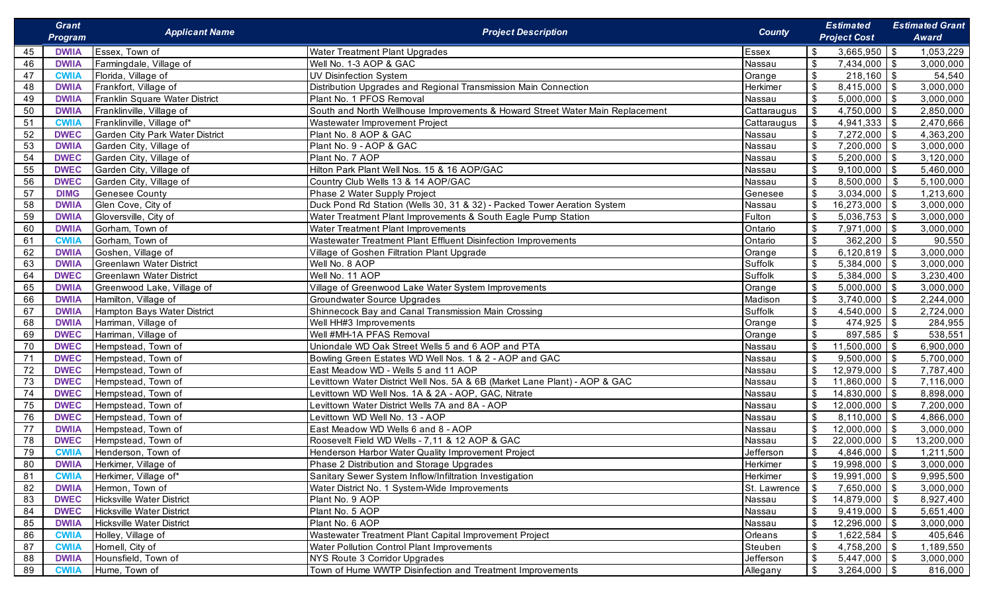|    | <b>Grant</b><br><b>Program</b> | <b>Applicant Name</b>            | <b>Project Description</b>                                                    | <b>County</b> | <b>Estimated</b><br><b>Project Cost</b>       | <b>Estimated Grant</b><br>Award |
|----|--------------------------------|----------------------------------|-------------------------------------------------------------------------------|---------------|-----------------------------------------------|---------------------------------|
| 45 | <b>DWIIA</b>                   | Essex, Town of                   | Water Treatment Plant Upgrades                                                | Essex         | $3,665,950$ \$                                | 1,053,229                       |
| 46 | <b>DWIIA</b>                   | Farmingdale, Village of          | Well No. 1-3 AOP & GAC                                                        | Nassau        | \$<br>$7,434,000$ \\$                         | 3,000,000                       |
| 47 | <b>CWIIA</b>                   | Florida, Village of              | <b>UV Disinfection System</b>                                                 | Orange        | \$<br>$218,160$ \$                            | 54,540                          |
| 48 | <b>DWIIA</b>                   | Frankfort, Village of            | Distribution Upgrades and Regional Transmission Main Connection               | Herkimer      | \$<br>$8,415,000$ \ \$                        | 3,000,000                       |
| 49 | <b>DWIIA</b>                   | Franklin Square Water District   | Plant No. 1 PFOS Removal                                                      | Nassau        | \$<br>$5,000,000$ \ \$                        | 3,000,000                       |
| 50 | <b>DWIIA</b>                   | Franklinville, Village of        | South and North Wellhouse Improvements & Howard Street Water Main Replacement | Cattaraugus   | \$<br>4,750,000 $\frac{1}{3}$                 | 2,850,000                       |
| 51 | <b>CWIIA</b>                   | Franklinville, Village of*       | Wastewater Improvement Project                                                | Cattaraugus   | \$                                            | 2,470,666                       |
| 52 | <b>DWEC</b>                    | Garden City Park Water District  | Plant No. 8 AOP & GAC                                                         | Nassau        | $\boldsymbol{\mathsf{S}}$<br>$7,272,000$ \ \$ | 4,363,200                       |
| 53 | <b>DWIIA</b>                   | Garden City, Village of          | Plant No. 9 - AOP & GAC                                                       | Nassau        | $\sqrt[6]{3}$<br>$7,200,000$ \ \$             | 3,000,000                       |
| 54 | <b>DWEC</b>                    | Garden City, Village of          | Plant No. 7 AOP                                                               | Nassau        | \$<br>$5,200,000$ \ \$                        | 3,120,000                       |
| 55 | <b>DWEC</b>                    | Garden City, Village of          | Hilton Park Plant Well Nos. 15 & 16 AOP/GAC                                   | Nassau        | \$<br>$9,100,000$ \ \$                        | 5,460,000                       |
| 56 | <b>DWEC</b>                    | Garden City, Village of          | Country Club Wells 13 & 14 AOP/GAC                                            | Nassau        | \$<br>8,500,000                               | \$<br>5,100,000                 |
| 57 | <b>DIMG</b>                    | <b>Genesee County</b>            | Phase 2 Water Supply Project                                                  | Genesee       | \$<br>$3,034,000$ \ \$                        | 1,213,600                       |
| 58 | <b>DWIIA</b>                   | Glen Cove, City of               | Duck Pond Rd Station (Wells 30, 31 & 32) - Packed Tower Aeration System       | Nassau        | \$<br>$16,273,000$ \$                         | 3,000,000                       |
| 59 | <b>DWIIA</b>                   | Gloversville, City of            | Water Treatment Plant Improvements & South Eagle Pump Station                 | Fulton        | \$<br>$5,036,753$ \\$                         | 3,000,000                       |
| 60 | <b>DWIIA</b>                   | Gorham, Town of                  | Water Treatment Plant Improvements                                            | Ontario       | \$<br>$7,971,000$ \\$                         | 3,000,000                       |
| 61 | <b>CWIIA</b>                   | Gorham, Town of                  | Wastewater Treatment Plant Effluent Disinfection Improvements                 | Ontario       | \$                                            | 90,550                          |
| 62 | <b>DWIIA</b>                   | Goshen, Village of               | Village of Goshen Filtration Plant Upgrade                                    | Orange        | \$<br>$6,120,819$ \ \$                        | 3,000,000                       |
| 63 | <b>DWIIA</b>                   | <b>Greenlawn Water District</b>  | Well No. 8 AOP                                                                | Suffolk       | $\mathfrak{L}$<br>$5,384,000$ \ \$            | 3,000,000                       |
| 64 | <b>DWEC</b>                    | <b>Greenlawn Water District</b>  | Well No. 11 AOP                                                               | Suffolk       | \$<br>$5,384,000$ \ \$                        | 3,230,400                       |
| 65 | <b>DWIIA</b>                   | Greenwood Lake, Village of       | Village of Greenwood Lake Water System Improvements                           | Orange        | \$<br>$5,000,000$ \ \$                        | 3,000,000                       |
| 66 | <b>DWIIA</b>                   | Hamilton, Village of             | Groundwater Source Upgrades                                                   | Madison       | $\sqrt[6]{2}$<br>$3,740,000$ \ \$             | 2,244,000                       |
| 67 | <b>DWIIA</b>                   | Hampton Bays Water District      | Shinnecock Bay and Canal Transmission Main Crossing                           | Suffolk       | $\sqrt[6]{2}$<br>$4,540,000$ \ \$             | 2,724,000                       |
| 68 | <b>DWIIA</b>                   | Harriman, Village of             | Well HH#3 Improvements                                                        | Orange        | $\sqrt[6]{2}$<br>$474,925$ \$                 | 284,955                         |
| 69 | <b>DWEC</b>                    | Harriman, Village of             | Well #MH-1A PFAS Removal                                                      | Orange        | \$<br>897,585                                 | \$<br>538,551                   |
| 70 | <b>DWEC</b>                    | Hempstead, Town of               | Uniondale WD Oak Street Wells 5 and 6 AOP and PTA                             | Nassau        | $\sqrt[6]{2}$<br>$11,500,000$ \$              | 6,900,000                       |
| 71 | <b>DWEC</b>                    | Hempstead, Town of               | Bowling Green Estates WD Well Nos. 1 & 2 - AOP and GAC                        | Nassau        | $\mathfrak{S}$<br>$9,500,000$ \ \$            | 5,700,000                       |
| 72 | <b>DWEC</b>                    | Hempstead, Town of               | East Meadow WD - Wells 5 and 11 AOP                                           | Nassau        | \$<br>$12,979,000$ \$                         | 7,787,400                       |
| 73 | <b>DWEC</b>                    | Hempstead, Town of               | Levittown Water District Well Nos. 5A & 6B (Market Lane Plant) - AOP & GAC    | Nassau        | $\mathfrak{S}$<br>$11,860,000$ \$             | 7,116,000                       |
| 74 | <b>DWEC</b>                    | Hempstead, Town of               | Levittown WD Well Nos. 1A & 2A - AOP, GAC, Nitrate                            | Nassau        | \$<br>$14,830,000$ \$                         | 8,898,000                       |
| 75 | <b>DWEC</b>                    | Hempstead, Town of               | Levittown Water District Wells 7A and 8A - AOP                                | Nassau        | \$<br>$12,000,000$ \$                         | 7,200,000                       |
| 76 | <b>DWEC</b>                    | Hempstead, Town of               | Levittown WD Well No. 13 - AOP                                                | Nassau        | \$<br>$8,110,000$ \ \$                        | 4,866,000                       |
| 77 | <b>DWIIA</b>                   | Hempstead, Town of               | East Meadow WD Wells 6 and 8 - AOP                                            | Nassau        | \$<br>$12,000,000$ \$                         | 3,000,000                       |
| 78 | <b>DWEC</b>                    | Hempstead, Town of               | Roosevelt Field WD Wells - 7,11 & 12 AOP & GAC                                | Nassau        | \$<br>$22,000,000$   \$                       | 13,200,000                      |
| 79 | <b>CWIIA</b>                   | Henderson, Town of               | Henderson Harbor Water Quality Improvement Project                            | Jefferson     | \$<br>$4,846,000$ \$                          | 1,211,500                       |
| 80 | <b>DWIIA</b>                   | Herkimer, Village of             | Phase 2 Distribution and Storage Upgrades                                     | Herkimer      | $19,998,000$   \$<br>\$                       | 3,000,000                       |
| 81 | <b>CWII/</b>                   | Herkimer, Village of*            | Sanitary Sewer System Inflow/Infiltration Investigation                       | Herkimer      | \$<br>$19,991,000$ \$                         | 9,995,500                       |
| 82 | <b>DWIIA</b>                   | Hermon, Town of                  | Water District No. 1 System-Wide Improvements                                 | St. Lawrence  | \$<br>$7,650,000$ \ \$                        | 3,000,000                       |
| 83 | <b>DWEC</b>                    | <b>Hicksville Water District</b> | Plant No. 9 AOP                                                               | Nassau        | $\sqrt[6]{2}$<br>$14,879,000$ \$              | 8,927,400                       |
| 84 | <b>DWEC</b>                    | <b>Hicksville Water District</b> | Plant No. 5 AOP                                                               | Nassau        | $\sqrt[6]{2}$<br>$9,419,000$ \$               | 5,651,400                       |
| 85 | <b>DWIIA</b>                   | Hicksville Water District        | Plant No. 6 AOP                                                               | Nassau        | $\sqrt[6]{2}$<br>12,296,000 \$                | 3,000,000                       |
| 86 | <b>CWII</b>                    | Holley, Village of               | Wastewater Treatment Plant Capital Improvement Project                        | Orleans       | $\sqrt[6]{2}$<br>$1,622,584$ \$               | 405,646                         |
| 87 | <b>CWIIA</b>                   | Hornell, City of                 | <b>Water Pollution Control Plant Improvements</b>                             | Steuben       | $\mathfrak{S}$<br>$4,758,200$ \\$             | 1,189,550                       |
| 88 | <b>DWIIA</b>                   | Hounsfield, Town of              | NYS Route 3 Corridor Upgrades                                                 | Jefferson     | $\sqrt[6]{2}$<br>$5,447,000$ \$               | 3,000,000                       |
| 89 | <b>CWIIA</b>                   | Hume, Town of                    | Town of Hume WWTP Disinfection and Treatment Improvements                     | Allegany      | $\mathfrak s$<br>$3,264,000$ \$               | 816,000                         |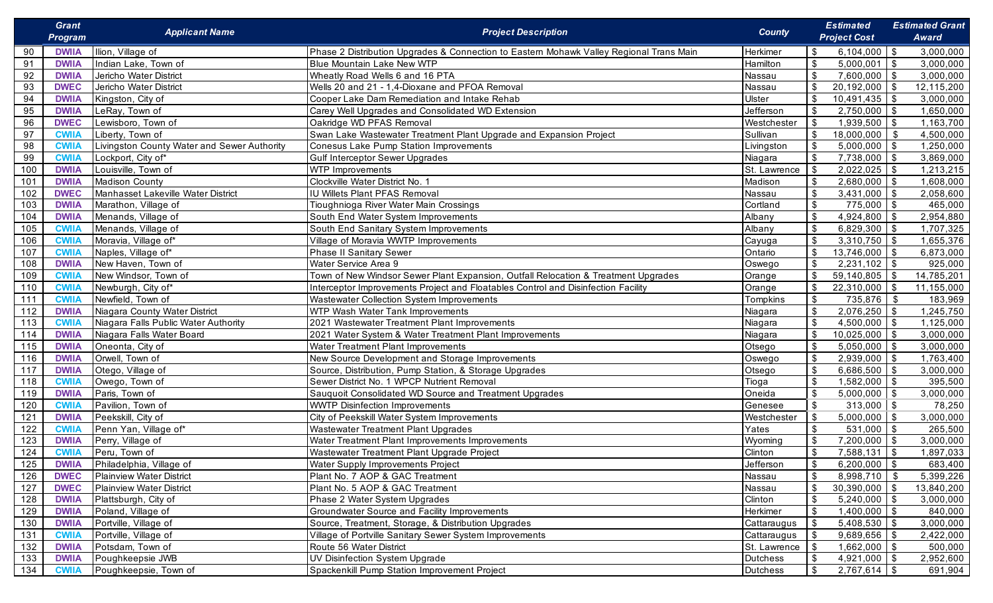|     | <b>Grant</b><br><b>Program</b> | <b>Applicant Name</b>                       | <b>Project Description</b>                                                              | <b>County</b>   | <b>Estimated</b><br><b>Project Cost</b>       | <b>Estimated Grant</b><br><b>Award</b> |
|-----|--------------------------------|---------------------------------------------|-----------------------------------------------------------------------------------------|-----------------|-----------------------------------------------|----------------------------------------|
| 90  | <b>DWIIA</b>                   | Ilion, Village of                           | Phase 2 Distribution Upgrades & Connection to Eastern Mohawk Valley Regional Trans Main | Herkimer        | $6,104,000$ \ \$<br>\$                        | 3,000,000                              |
| 91  | <b>DWIIA</b>                   | Indian Lake, Town of                        | <b>Blue Mountain Lake New WTP</b>                                                       | Hamilton        | \$<br>5,000,001                               | $\mathbf{\hat{s}}$<br>3,000,000        |
| 92  | <b>DWIIA</b>                   | Jericho Water District                      | Wheatly Road Wells 6 and 16 PTA                                                         | Nassau          | \$<br>$7,600,000$ \ \$                        | 3,000,000                              |
| 93  | <b>DWEC</b>                    | Jericho Water District                      | Wells 20 and 21 - 1,4-Dioxane and PFOA Removal                                          | Nassau          | $20,192,000$ \$<br>\$                         | 12,115,200                             |
| 94  | <b>DWIIA</b>                   | Kingston, City of                           | Cooper Lake Dam Remediation and Intake Rehab                                            | Ulster          | \$<br>$10,491,435$ \$                         | 3,000,000                              |
| 95  | <b>DWIIA</b>                   | LeRay, Town of                              | Carey Well Upgrades and Consolidated WD Extension                                       | Jefferson       | 2,750,000<br>\$                               | $\sqrt{3}$<br>1,650,000                |
| 96  | <b>DWEC</b>                    | Lewisboro, Town of                          | Oakridge WD PFAS Removal                                                                | Westchester     | $1,939,500$ \$<br>\$                          | 1,163,700                              |
| 97  | <b>CWIIA</b>                   | Liberty, Town of                            | Swan Lake Wastewater Treatment Plant Upgrade and Expansion Project                      | Sullivan        | \$<br>18,000,000                              | 4,500,000<br>-\$                       |
| 98  | <b>CWII/</b>                   | Livingston County Water and Sewer Authority | Conesus Lake Pump Station Improvements                                                  | Livingston      | $5,000,000$ \$<br>\$                          | 1,250,000                              |
| 99  | <b>CWII/</b>                   | Lockport, City of*                          | <b>Gulf Interceptor Sewer Upgrades</b>                                                  | Niagara         | \$<br>$7,738,000$ \ \$                        | 3,869,000                              |
| 100 | <b>DWIIA</b>                   | Louisville, Town of                         | <b>WTP Improvements</b>                                                                 | St. Lawrence    | $2,022,025$ \$<br>\$                          | 1,213,215                              |
| 101 | <b>DWIIA</b>                   | <b>Madison County</b>                       | Clockville Water District No. 1                                                         | Madison         | \$<br>$2,680,000$ \ \$                        | 1,608,000                              |
| 102 | <b>DWEC</b>                    | Manhasset Lakeville Water District          | IU Willets Plant PFAS Removal                                                           | Nassau          | \$<br>$3,431,000$ \\$                         | 2,058,600                              |
| 103 | <b>DWIIA</b>                   | Marathon, Village of                        | Tioughnioga River Water Main Crossings                                                  | Cortland        | \$<br>$775,000$ \$                            | 465,000                                |
| 104 | <b>DWIIA</b>                   | Menands, Village of                         | South End Water System Improvements                                                     | Albany          | $\boldsymbol{\mathsf{S}}$<br>4,924,800        | 2,954,880<br>- \$                      |
| 105 | <b>CWII/</b>                   | Menands, Village of                         | South End Sanitary System Improvements                                                  | Albany          | $\boldsymbol{\mathsf{S}}$<br>$6,829,300$ \ \$ | 1,707,325                              |
| 106 | <b>CWII/</b>                   | Moravia, Village of*                        | Village of Moravia WWTP Improvements                                                    | Cayuga          | $\boldsymbol{\mathsf{S}}$<br>$3,310,750$ \\$  | 1,655,376                              |
| 107 | <b>CWII/</b>                   | Naples, Village of*                         | Phase II Sanitary Sewer                                                                 | Ontario         | \$<br>$13,746,000$ \$                         | 6,873,000                              |
| 108 | <b>DWIIA</b>                   | New Haven, Town of                          | Water Service Area 9                                                                    | Oswego          | $\sqrt[6]{3}$<br>$2,231,102$ \$               | 925,000                                |
| 109 | <b>CWII/</b>                   | New Windsor, Town of                        | Town of New Windsor Sewer Plant Expansion, Outfall Relocation & Treatment Upgrades      | Orange          | $\sqrt[6]{3}$<br>$59,140,805$ \\$             | 14,785,201                             |
| 110 | <b>CWII/</b>                   | Newburgh, City of*                          | Interceptor Improvements Project and Floatables Control and Disinfection Facility       | Orange          | \$<br>$22,310,000$ \ \$                       | 11,155,000                             |
| 111 | <b>CWII/</b>                   | Newfield, Town of                           | Wastewater Collection System Improvements                                               | Tompkins        | $\mathfrak{S}$<br>735,876                     | \$<br>183,969                          |
| 112 | <b>DWIIA</b>                   | Niagara County Water District               | WTP Wash Water Tank Improvements                                                        | Niagara         | \$<br>$2,076,250$ \$                          | 1,245,750                              |
| 113 | <b>CWII/</b>                   | Niagara Falls Public Water Authority        | 2021 Wastewater Treatment Plant Improvements                                            | Niagara         | $\sqrt[6]{3}$<br>$4,500,000$ \ \$             | 1,125,000                              |
| 114 | <b>DWIIA</b>                   | Niagara Falls Water Board                   | 2021 Water System & Water Treatment Plant Improvements                                  | Niagara         | $\sqrt[6]{3}$<br>$10,025,000$ \$              | 3,000,000                              |
| 115 | <b>DWIIA</b>                   | Oneonta, City of                            | Water Treatment Plant Improvements                                                      | Otsego          | \$<br>$5,050,000$ \ \$                        | 3,000,000                              |
| 116 | <b>DWIIA</b>                   | Orwell, Town of                             | New Source Development and Storage Improvements                                         | Oswego          | $\sqrt[6]{3}$<br>$2,939,000$ \$               | 1,763,400                              |
| 117 | <b>DWIIA</b>                   | Otego, Village of                           | Source, Distribution, Pump Station, & Storage Upgrades                                  | Otsego          | \$<br>$6,686,500$ \ \$                        | 3,000,000                              |
| 118 | <b>CWII</b>                    | Owego, Town of                              | Sewer District No. 1 WPCP Nutrient Removal                                              | Tioga           | \$<br>$1,582,000$ \$                          | 395,500                                |
| 119 | <b>DWIIA</b>                   | Paris, Town of                              | Sauquoit Consolidated WD Source and Treatment Upgrades                                  | Oneida          | $\mathfrak{L}$<br>$5,000,000$ \$              | 3,000,000                              |
| 120 | <b>CWII/</b>                   | Pavilion, Town of                           | <b>WWTP Disinfection Improvements</b>                                                   | Genesee         | $\sqrt[6]{2}$<br>$313,000$ \$                 | 78,250                                 |
| 121 | <b>DWIIA</b>                   | Peekskill, City of                          | City of Peekskill Water System Improvements                                             | Westchester     | \$<br>$5,000,000$ \$                          | 3,000,000                              |
| 122 | <b>CWII/</b>                   | Penn Yan, Village of*                       | Wastewater Treatment Plant Upgrades                                                     | Yates           | \$<br>$531,000$ \$                            | 265,500                                |
| 123 | <b>DWIIA</b>                   | Perry, Village of                           | Water Treatment Plant Improvements Improvements                                         | Wyoming         | $\mathfrak{S}$<br>7,200,000                   | l \$<br>3,000,000                      |
| 124 | <b>CWIIA</b>                   | Peru, Town of                               | Wastewater Treatment Plant Upgrade Project                                              | Clinton         | $\sqrt[6]{2}$<br>$7,588,131$ \\$              | 1,897,033                              |
| 125 | <b>DWIIA</b>                   | Philadelphia, Village of                    | <b>Water Supply Improvements Project</b>                                                | Jefferson       | \$<br>$6,200,000$ \ \$                        | 683,400                                |
| 126 | <b>DWEC</b>                    | <b>Plainview Water District</b>             | Plant No. 7 AOP & GAC Treatment                                                         | Nassau          | $\mathfrak{S}$<br>$8,998,710$ \$              | 5,399,226                              |
| 127 | <b>DWEC</b>                    | <b>Plainview Water District</b>             | Plant No. 5 AOP & GAC Treatment                                                         | Nassau          | $\mathfrak{S}$<br>$30,390,000$ \$             | 13,840,200                             |
| 128 | <b>DWIIA</b>                   | Plattsburgh, City of                        | Phase 2 Water System Upgrades                                                           | Clinton         | $\mathfrak{S}$<br>$5,240,000$ \ \$            | 3,000,000                              |
| 129 | <b>DWIIA</b>                   | Poland, Village of                          | <b>Groundwater Source and Facility Improvements</b>                                     | Herkimer        | \$<br>$1,400,000$ \$                          | 840,000                                |
| 130 | <b>DWIIA</b>                   | Portville, Village of                       | Source, Treatment, Storage, & Distribution Upgrades                                     | Cattaraugus     | \$<br>$5,408,530$ \\$                         | 3,000,000                              |
| 131 | <b>CWII/</b>                   | Portville, Village of                       | Village of Portville Sanitary Sewer System Improvements                                 | Cattaraugus     | \$<br>$9,689,656$ \$                          | 2,422,000                              |
| 132 | <b>DWIIA</b>                   | Potsdam, Town of                            | Route 56 Water District                                                                 | St. Lawrence    | \$<br>$1,662,000$ \ \$                        | 500,000                                |
| 133 | <b>DWIIA</b>                   | Poughkeepsie JWB                            | UV Disinfection System Upgrade                                                          | <b>Dutchess</b> | \$<br>$4,921,000$ \\$                         | 2,952,600                              |
| 134 | <b>CWIIA</b>                   | Poughkeepsie, Town of                       | Spackenkill Pump Station Improvement Project                                            | <b>Dutchess</b> | \$<br>$2,767,614$ \$                          | 691,904                                |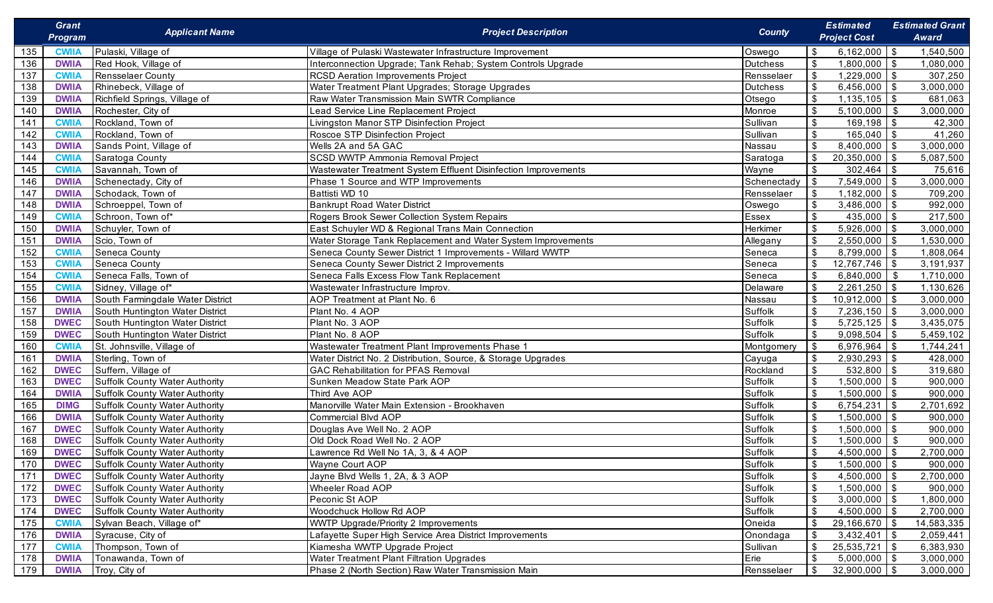|     | <b>Grant</b><br>Program | <b>Applicant Name</b>                 | <b>Project Description</b>                                     | <b>County</b>   | <b>Estimated</b><br><b>Project Cost</b>      | <b>Estimated Grant</b><br>Award |
|-----|-------------------------|---------------------------------------|----------------------------------------------------------------|-----------------|----------------------------------------------|---------------------------------|
| 135 | <b>CWIIA</b>            | Pulaski, Village of                   | Village of Pulaski Wastewater Infrastructure Improvement       | Oswego          | 6,162,000<br>\$                              | \$<br>1,540,500                 |
| 136 | <b>DWIIA</b>            | Red Hook, Village of                  | Interconnection Upgrade; Tank Rehab; System Controls Upgrade   | <b>Dutchess</b> | $\mathfrak{S}$<br>1,800,000                  | $\mathbb{S}$<br>1,080,000       |
| 137 | <b>CWIIA</b>            | <b>Rensselaer County</b>              | <b>RCSD Aeration Improvements Project</b>                      | Rensselaer      | $\sqrt{3}$<br>1,229,000                      | \$<br>307,250                   |
| 138 | <b>DWIIA</b>            | Rhinebeck, Village of                 | Water Treatment Plant Upgrades; Storage Upgrades               | <b>Dutchess</b> | \$<br>6,456,000                              | 3,000,000<br>\$                 |
| 139 | <b>DWIIA</b>            | Richfield Springs, Village of         | Raw Water Transmission Main SWTR Compliance                    | Otsego          | 1,135,105<br>$\sqrt[6]{3}$                   | 681,063<br>\$                   |
| 140 | <b>DWIIA</b>            | Rochester, City of                    | Lead Service Line Replacement Project                          | Monroe          | $\sqrt[6]{3}$<br>5,100,000                   | 3,000,000<br>\$                 |
| 141 | <b>CWIIA</b>            | Rockland, Town of                     | Livingston Manor STP Disinfection Project                      | Sullivan        | $\sqrt[6]{3}$<br>169,198                     | $\mathbb{S}$<br>42,300          |
| 142 | <b>CWIIA</b>            | Rockland, Town of                     | Roscoe STP Disinfection Project                                | Sullivan        | $\sqrt[6]{\frac{1}{2}}$<br>165,040           | 41,260<br>\$                    |
| 143 | <b>DWIIA</b>            | Sands Point, Village of               | Wells 2A and 5A GAC                                            | Nassau          | \$<br>8,400,000                              | 3,000,000<br>\$                 |
| 144 | <b>CWIIA</b>            | Saratoga County                       | SCSD WWTP Ammonia Removal Project                              | Saratoga        | $\sqrt{2}$<br>20,350,000                     | 5,087,500<br>\$                 |
| 145 | <b>CWIIA</b>            | Savannah, Town of                     | Wastewater Treatment System Effluent Disinfection Improvements | Wayne           | 302,464<br>$\boldsymbol{\mathsf{S}}$         | \$<br>75,616                    |
| 146 | <b>DWIIA</b>            | Schenectady, City of                  | Phase 1 Source and WTP Improvements                            | Schenectady     | -\$<br>7,549,000                             | 3,000,000<br>\$                 |
| 147 | <b>DWIIA</b>            | Schodack, Town of                     | Battisti WD 10                                                 | Rensselaer      | 1,182,000<br>\$                              | 709,200<br>\$                   |
| 148 | <b>DWIIA</b>            | Schroeppel, Town of                   | <b>Bankrupt Road Water District</b>                            | Oswego          | $\boldsymbol{\mathsf{S}}$<br>3,486,000       | 992,000<br>\$                   |
| 149 | <b>CWIIA</b>            | Schroon, Town of*                     | Rogers Brook Sewer Collection System Repairs                   | Essex           | $\boldsymbol{\mathsf{S}}$<br>435,000         | \$<br>217,500                   |
| 150 | <b>DWIIA</b>            | Schuyler, Town of                     | East Schuyler WD & Regional Trans Main Connection              | Herkimer        | $\sqrt[6]{3}$<br>5,926,000                   | 3,000,000<br>\$                 |
| 151 | <b>DWIIA</b>            | Scio, Town of                         | Water Storage Tank Replacement and Water System Improvements   | Allegany        | $\sqrt{3}$<br>2,550,000                      | 1,530,000<br>\$                 |
| 152 | <b>CWIIA</b>            | Seneca County                         | Seneca County Sewer District 1 Improvements - Willard WWTP     | Seneca          | $\boldsymbol{\mathsf{S}}$<br>8,799,000       | \$<br>1,808,064                 |
| 153 | <b>CWIIA</b>            | Seneca County                         | Seneca County Sewer District 2 Improvements                    | Seneca          | $\boldsymbol{\mathsf{S}}$<br>12,767,746      | \$<br>3,191,937                 |
| 154 | <b>CWIIA</b>            | Seneca Falls, Town of                 | Seneca Falls Excess Flow Tank Replacement                      | Seneca          | $\sqrt[6]{3}$<br>6,840,000                   | -\$<br>1,710,000                |
| 155 | <b>CWIIA</b>            | Sidney, Village of*                   | Wastewater Infrastructure Improv.                              | Delaware        | $\boldsymbol{\mathsf{S}}$<br>$2,261,250$ \$  | 1,130,626                       |
| 156 | <b>DWIIA</b>            | South Farmingdale Water District      | AOP Treatment at Plant No. 6                                   | Nassau          | $\sqrt[6]{\frac{1}{2}}$<br>10,912,000        | 3,000,000<br>- \$               |
| 157 | <b>DWIIA</b>            | South Huntington Water District       | Plant No. 4 AOP                                                | Suffolk         | $\sqrt[6]{\frac{1}{2}}$<br>7,236,150         | 3,000,000<br>$\sqrt{3}$         |
| 158 | <b>DWEC</b>             | South Huntington Water District       | Plant No. 3 AOP                                                | Suffolk         | $\sqrt[6]{\frac{1}{2}}$<br>5,725,125         | \$<br>3,435,075                 |
| 159 | <b>DWEC</b>             | South Huntington Water District       | Plant No. 8 AOP                                                | Suffolk         | $\sqrt[6]{3}$<br>9,098,504                   | 5,459,102<br>\$                 |
| 160 | <b>CWIIA</b>            | St. Johnsville, Village of            | Wastewater Treatment Plant Improvements Phase 1                | Montgomery      | \$<br>6,976,964                              | 1,744,241<br>-\$                |
| 161 | <b>DWIIA</b>            | Sterling, Town of                     | Water District No. 2 Distribution, Source, & Storage Upgrades  | Cayuga          | $\sqrt[6]{\frac{1}{2}}$<br>$2,930,293$ \$    | 428,000                         |
| 162 | <b>DWEC</b>             | Suffern, Village of                   | <b>GAC Rehabilitation for PFAS Removal</b>                     | Rockland        | $\sqrt[6]{3}$<br>$\overline{532,800}$        | \$<br>319,680                   |
| 163 | <b>DWEC</b>             | <b>Suffolk County Water Authority</b> | Sunken Meadow State Park AOP                                   | Suffolk         | $\mathfrak{S}$<br>1,500,000                  | $\mathfrak{S}$<br>900,000       |
| 164 | <b>DWIIA</b>            | <b>Suffolk County Water Authority</b> | Third Ave AOP                                                  | Suffolk         | $\sqrt[6]{\frac{1}{2}}$<br>1,500,000         | $\mathbb{S}$<br>900,000         |
| 165 | <b>DIMG</b>             | <b>Suffolk County Water Authority</b> | Manorville Water Main Extension - Brookhaven                   | Suffolk         | $\sqrt[6]{3}$<br>6,754,231                   | \$<br>2,701,692                 |
| 166 | <b>DWIIA</b>            | <b>Suffolk County Water Authority</b> | Commercial Blvd AOP                                            | Suffolk         | $\sqrt[6]{3}$<br>1,500,000                   | $\mathfrak s$<br>900,000        |
| 167 | <b>DWEC</b>             | <b>Suffolk County Water Authority</b> | Douglas Ave Well No. 2 AOP                                     | Suffolk         | $\sqrt[6]{3}$<br>1,500,000                   | \$<br>900,000                   |
| 168 | <b>DWEC</b>             | <b>Suffolk County Water Authority</b> | Old Dock Road Well No. 2 AOP                                   | Suffolk         | $\sqrt[6]{3}$<br>1,500,000                   | \$<br>900,000                   |
| 169 | <b>DWEC</b>             | <b>Suffolk County Water Authority</b> | Lawrence Rd Well No 1A, 3, & 4 AOP                             | Suffolk         | $\sqrt[6]{3}$<br>4,500,000                   | \$<br>2,700,000                 |
| 170 | <b>DWEC</b>             | Suffolk County Water Authority        | Wayne Court AOP                                                | Suffolk         | \$<br>$1,500,000$ \ \$                       | 900,000                         |
| 171 | <b>DWEC</b>             | <b>Suffolk County Water Authority</b> | Jayne Blvd Wells 1, 2A, & 3 AOP                                | Suffolk         | $\boldsymbol{\mathsf{S}}$<br>$4,500,000$ \$  | 2,700,000                       |
| 172 | <b>DWEC</b>             | <b>Suffolk County Water Authority</b> | Wheeler Road AOP                                               | Suffolk         | $\boldsymbol{\mathsf{S}}$<br>$1,500,000$ \$  | 900,000                         |
| 173 | <b>DWEC</b>             | <b>Suffolk County Water Authority</b> | Peconic St AOP                                                 | Suffolk         | $\boldsymbol{\mathsf{S}}$<br>$3,000,000$ \$  | 1,800,000                       |
| 174 | <b>DWEC</b>             | <b>Suffolk County Water Authority</b> | Woodchuck Hollow Rd AOP                                        | Suffolk         | $\sqrt[6]{3}$<br>$4,500,000$ \$              | 2,700,000                       |
| 175 | <b>CWIIA</b>            | Sylvan Beach, Village of*             | WWTP Upgrade/Priority 2 Improvements                           | Oneida          | $\sqrt[6]{3}$<br>$29,166,670$ \$             | 14,583,335                      |
| 176 | <b>DWIIA</b>            | Syracuse, City of                     | Lafayette Super High Service Area District Improvements        | Onondaga        | $\sqrt[6]{3}$<br>$3,432,401$ \$              | 2,059,441                       |
| 177 | <b>CWIIA</b>            | Thompson, Town of                     | Kiamesha WWTP Upgrade Project                                  | Sullivan        | $\boldsymbol{\mathsf{S}}$<br>$25,535,721$ \$ | 6,383,930                       |
| 178 | <b>DWIIA</b>            | Tonawanda, Town of                    | Water Treatment Plant Filtration Upgrades                      | Erie            | $\sqrt{2}$<br>$5,000,000$ \$                 | 3,000,000                       |
| 179 | <b>DWIIA</b>            | Troy, City of                         | Phase 2 (North Section) Raw Water Transmission Main            | Rensselaer      | \$<br>$32,900,000$ \$                        | 3,000,000                       |